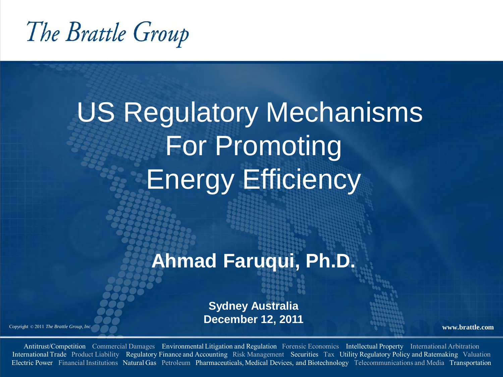The Brattle Group

# US Regulatory Mechanisms For Promoting Energy Efficiency

### **Ahmad Faruqui, Ph.D.**

**Sydney Australia December 12, 2011**

Copyright © <sup>2011</sup>*The Brattle Group, Inc.* **www.brattle.com**

Antitrust/Competition Commercial Damages Environmental Litigation and Regulation Forensic Economics Intellectual Property International Arbitration International Trade Product Liability Regulatory Finance and Accounting Risk Management Securities Tax Utility Regulatory Policy and Ratemaking Valuation Electric Power Financial Institutions Natural Gas Petroleum Pharmaceuticals, Medical Devices, and Biotechnology Telecommunications and Media Transportation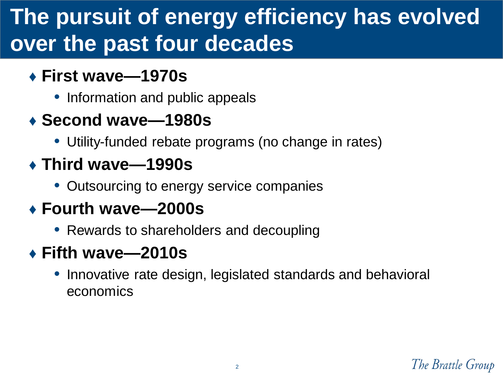# **The pursuit of energy efficiency has evolved over the past four decades**

- ♦ **First wave—1970s**
	- Information and public appeals
- ♦ **Second wave—1980s**
	- Utility-funded rebate programs (no change in rates)
- ♦ **Third wave—1990s**
	- Outsourcing to energy service companies
- ♦ **Fourth wave—2000s**
	- Rewards to shareholders and decoupling
- ♦ **Fifth wave—2010s**
	- Innovative rate design, legislated standards and behavioral economics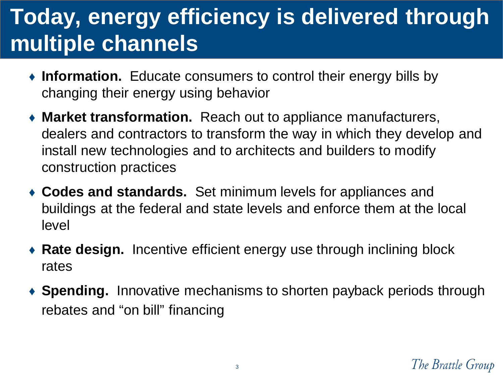# **Today, energy efficiency is delivered through multiple channels**

- ♦ **Information.** Educate consumers to control their energy bills by changing their energy using behavior
- ♦ **Market transformation.** Reach out to appliance manufacturers, dealers and contractors to transform the way in which they develop and install new technologies and to architects and builders to modify construction practices
- ♦ **Codes and standards.** Set minimum levels for appliances and buildings at the federal and state levels and enforce them at the local level
- ♦ **Rate design.** Incentive efficient energy use through inclining block rates
- ♦ **Spending.** Innovative mechanisms to shorten payback periods through rebates and "on bill" financing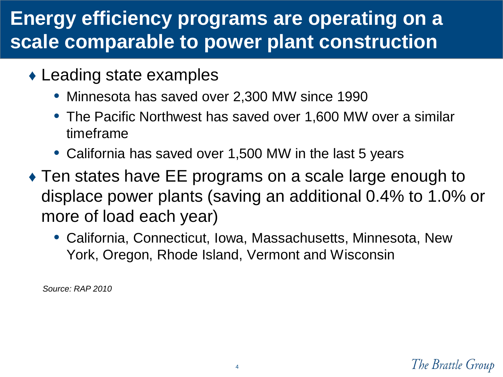### **Energy efficiency programs are operating on a scale comparable to power plant construction**

- ♦ Leading state examples
	- Minnesota has saved over 2,300 MW since 1990
	- The Pacific Northwest has saved over 1,600 MW over a similar timeframe
	- California has saved over 1,500 MW in the last 5 years
- ♦ Ten states have EE programs on a scale large enough to displace power plants (saving an additional 0.4% to 1.0% or more of load each year)
	- California, Connecticut, Iowa, Massachusetts, Minnesota, New York, Oregon, Rhode Island, Vermont and Wisconsin

*Source: RAP 2010*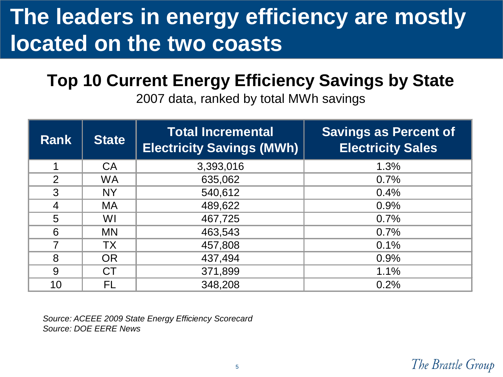# **The leaders in energy efficiency are mostly located on the two coasts**

### **Top 10 Current Energy Efficiency Savings by State**

2007 data, ranked by total MWh savings

| <b>Rank</b>    | <b>State</b> | <b>Total Incremental</b><br><b>Electricity Savings (MWh)</b> | <b>Savings as Percent of</b><br><b>Electricity Sales</b> |
|----------------|--------------|--------------------------------------------------------------|----------------------------------------------------------|
|                | <b>CA</b>    | 3,393,016                                                    | 1.3%                                                     |
| $\overline{2}$ | <b>WA</b>    | 635,062                                                      | 0.7%                                                     |
| 3              | <b>NY</b>    | 540,612                                                      | 0.4%                                                     |
| 4              | MA.          | 489,622                                                      | 0.9%                                                     |
| 5              | WI           | 467,725                                                      | 0.7%                                                     |
| 6              | <b>MN</b>    | 463,543                                                      | 0.7%                                                     |
| 7              | <b>TX</b>    | 457,808                                                      | 0.1%                                                     |
| 8              | <b>OR</b>    | 437,494                                                      | 0.9%                                                     |
| 9              | <b>CT</b>    | 371,899                                                      | 1.1%                                                     |
| 10             | FL           | 348,208                                                      | 0.2%                                                     |

*Source: ACEEE 2009 State Energy Efficiency Scorecard Source: DOE EERE News*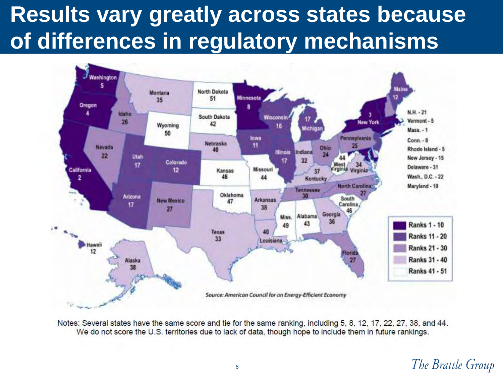# **Results vary greatly across states because of differences in regulatory mechanisms**



Notes: Several states have the same score and tie for the same ranking, including 5, 8, 12, 17, 22, 27, 38, and 44. We do not score the U.S. territories due to lack of data, though hope to include them in future rankings.

### The Brattle Group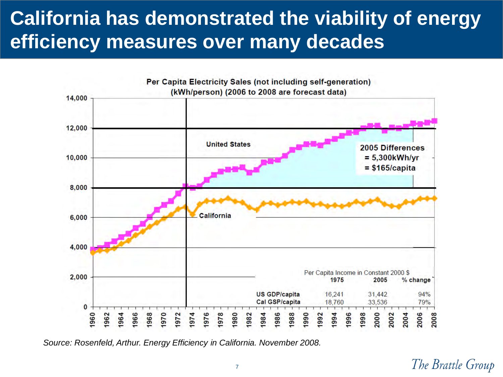## **California has demonstrated the viability of energy efficiency measures over many decades**



*Source: Rosenfeld, Arthur. Energy Efficiency in California. November 2008.*

#### The Brattle Group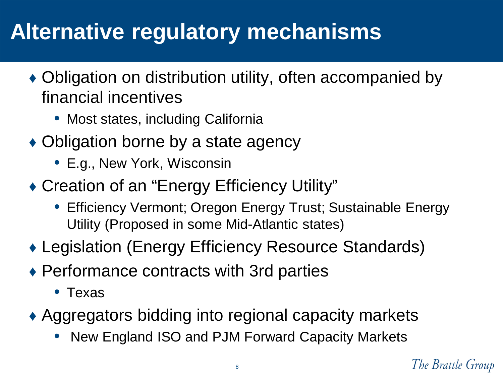# **Alternative regulatory mechanisms**

- ♦ Obligation on distribution utility, often accompanied by financial incentives
	- Most states, including California
- Obligation borne by a state agency
	- E.g., New York, Wisconsin
- ♦ Creation of an "Energy Efficiency Utility"
	- Efficiency Vermont; Oregon Energy Trust; Sustainable Energy Utility (Proposed in some Mid-Atlantic states)
- ♦ Legislation (Energy Efficiency Resource Standards)
- ♦ Performance contracts with 3rd parties
	- Texas
- ♦ Aggregators bidding into regional capacity markets
	- New England ISO and PJM Forward Capacity Markets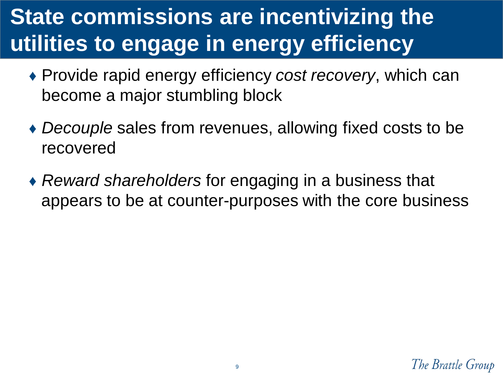# **State commissions are incentivizing the utilities to engage in energy efficiency**

- ♦ Provide rapid energy efficiency *cost recovery*, which can become a major stumbling block
- ♦ *Decouple* sales from revenues, allowing fixed costs to be recovered
- ♦ *Reward shareholders* for engaging in a business that appears to be at counter-purposes with the core business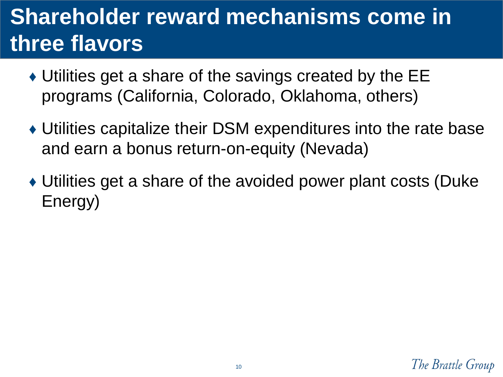# **Shareholder reward mechanisms come in three flavors**

- ♦ Utilities get a share of the savings created by the EE programs (California, Colorado, Oklahoma, others)
- ♦ Utilities capitalize their DSM expenditures into the rate base and earn a bonus return-on-equity (Nevada)
- ♦ Utilities get a share of the avoided power plant costs (Duke Energy)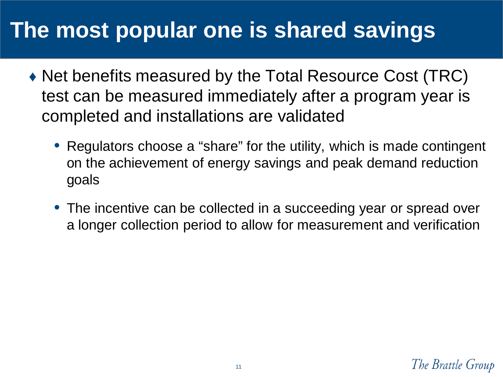# **The most popular one is shared savings**

- ♦ Net benefits measured by the Total Resource Cost (TRC) test can be measured immediately after a program year is completed and installations are validated
	- Regulators choose a "share" for the utility, which is made contingent on the achievement of energy savings and peak demand reduction goals
	- The incentive can be collected in a succeeding year or spread over a longer collection period to allow for measurement and verification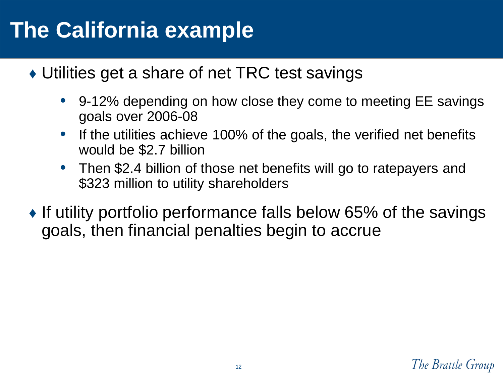# **The California example**

- ♦ Utilities get a share of net TRC test savings
	- 9-12% depending on how close they come to meeting EE savings goals over 2006-08
	- If the utilities achieve 100% of the goals, the verified net benefits would be \$2.7 billion
	- Then \$2.4 billion of those net benefits will go to ratepayers and \$323 million to utility shareholders
- $\bullet$  If utility portfolio performance falls below 65% of the savings goals, then financial penalties begin to accrue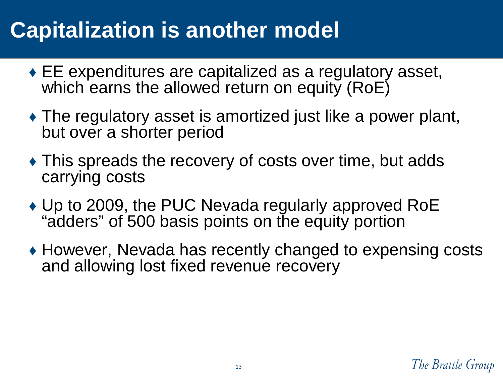# **Capitalization is another model**

- $\bullet$  EE expenditures are capitalized as a regulatory asset, which earns the allowed return on equity (RoE)
- $\triangle$  The regulatory asset is amortized just like a power plant, but over a shorter period
- ♦ This spreads the recovery of costs over time, but adds carrying costs
- ♦ Up to 2009, the PUC Nevada regularly approved RoE "adders" of 500 basis points on the equity portion
- ♦ However, Nevada has recently changed to expensing costs and allowing lost fixed revenue recovery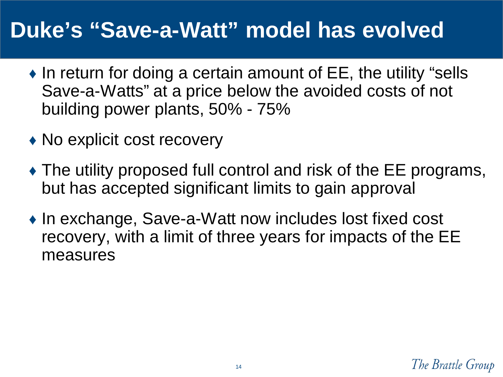# **Duke's "Save-a-Watt" model has evolved**

- $\bullet$  In return for doing a certain amount of EE, the utility "sells Save-a-Watts" at a price below the avoided costs of not building power plants, 50% - 75%
- No explicit cost recovery
- $\triangle$  The utility proposed full control and risk of the EE programs, but has accepted significant limits to gain approval
- ♦ In exchange, Save-a-Watt now includes lost fixed cost recovery, with a limit of three years for impacts of the EE measures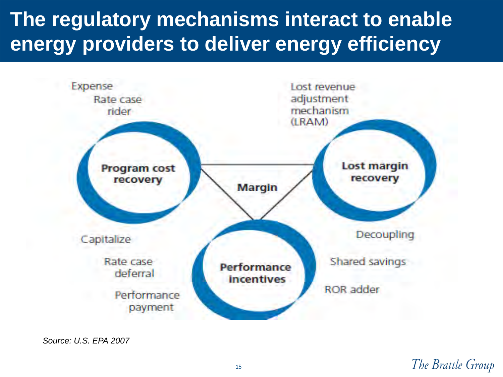## **The regulatory mechanisms interact to enable energy providers to deliver energy efficiency**



*Source: U.S. EPA 2007*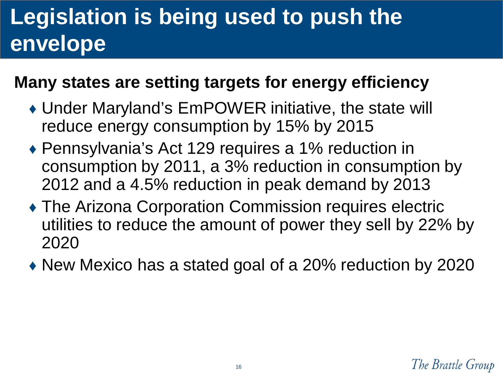# **Legislation is being used to push the envelope**

### **Many states are setting targets for energy efficiency**

- ♦ Under Maryland's EmPOWER initiative, the state will reduce energy consumption by 15% by 2015
- ♦ Pennsylvania's Act 129 requires a 1% reduction in consumption by 2011, a 3% reduction in consumption by 2012 and a 4.5% reduction in peak demand by 2013
- ♦ The Arizona Corporation Commission requires electric utilities to reduce the amount of power they sell by 22% by 2020
- New Mexico has a stated goal of a 20% reduction by 2020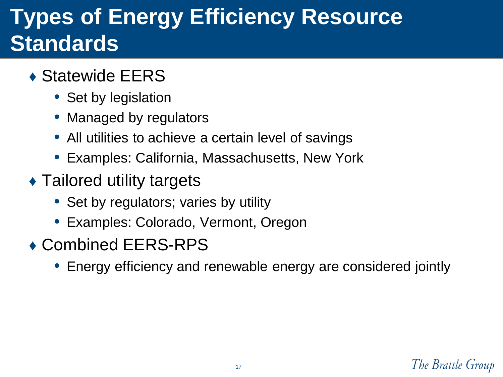# **Types of Energy Efficiency Resource Standards**

- ◆ Statewide EERS
	- Set by legislation
	- Managed by regulators
	- All utilities to achieve a certain level of savings
	- Examples: California, Massachusetts, New York
- $\triangle$  Tailored utility targets
	- Set by regulators; varies by utility
	- Examples: Colorado, Vermont, Oregon
- ♦ Combined EERS-RPS
	- Energy efficiency and renewable energy are considered jointly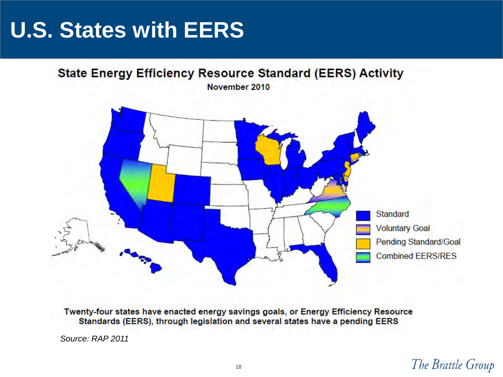# **U.S. States with EERS**



Twenty-four states have enacted energy savings goals, or Energy Efficiency Resource Standards (EERS), through legislation and several states have a pending EERS

*Source: RAP 2011*

The Brattle Group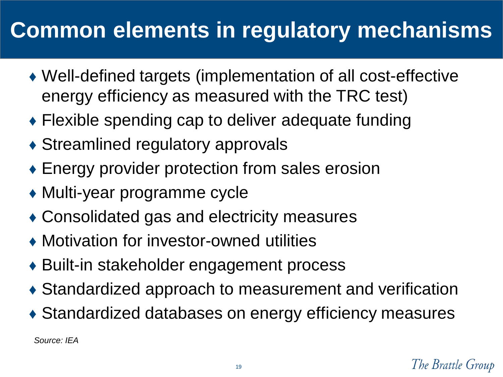# **Common elements in regulatory mechanisms**

- ♦ Well-defined targets (implementation of all cost-effective energy efficiency as measured with the TRC test)
- Flexible spending cap to deliver adequate funding
- $\triangle$  Streamlined regulatory approvals
- ♦ Energy provider protection from sales erosion
- ♦ Multi-year programme cycle
- ♦ Consolidated gas and electricity measures
- ♦ Motivation for investor-owned utilities
- ◆ Built-in stakeholder engagement process
- ♦ Standardized approach to measurement and verification
- ♦ Standardized databases on energy efficiency measures

*Source: IEA*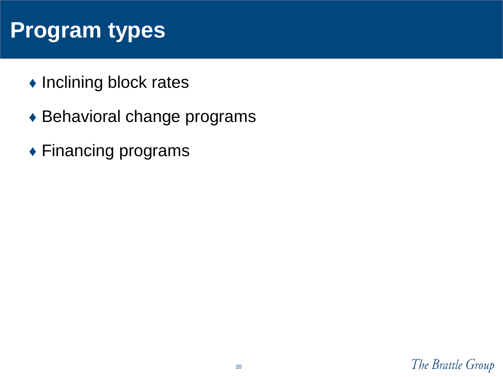# **Program types**

- ♦ Inclining block rates
- ♦ Behavioral change programs
- ◆ Financing programs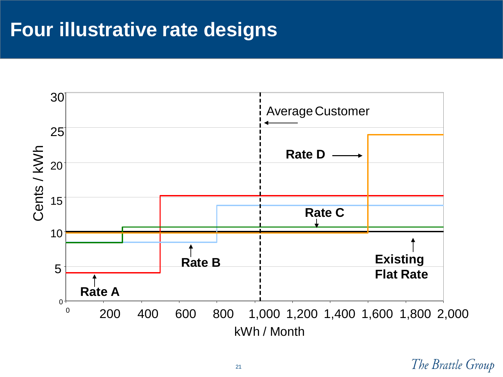### **Four illustrative rate designs**



The Brattle Group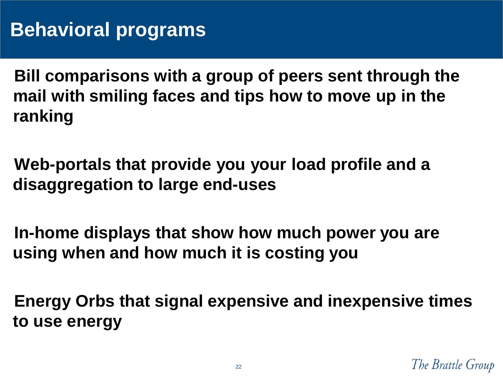**Bill comparisons with a group of peers sent through the mail with smiling faces and tips how to move up in the ranking**

**Web-portals that provide you your load profile and a disaggregation to large end-uses** 

**In-home displays that show how much power you are using when and how much it is costing you**

**Energy Orbs that signal expensive and inexpensive times to use energy**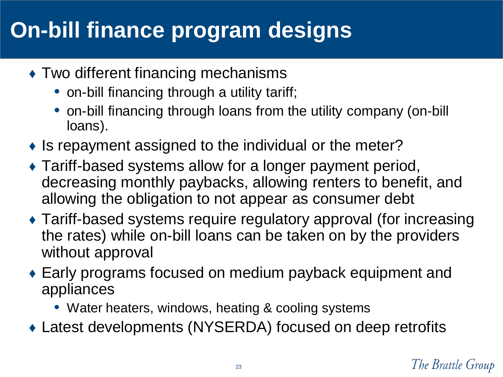# **On-bill finance program designs**

- $\triangle$  Two different financing mechanisms
	- on-bill financing through a utility tariff;
	- on-bill financing through loans from the utility company (on-bill loans).
- $\bullet$  Is repayment assigned to the individual or the meter?
- ♦ Tariff-based systems allow for a longer payment period, decreasing monthly paybacks, allowing renters to benefit, and allowing the obligation to not appear as consumer debt
- ♦ Tariff-based systems require regulatory approval (for increasing the rates) while on-bill loans can be taken on by the providers without approval
- ♦ Early programs focused on medium payback equipment and appliances
	- Water heaters, windows, heating & cooling systems
- ♦ Latest developments (NYSERDA) focused on deep retrofits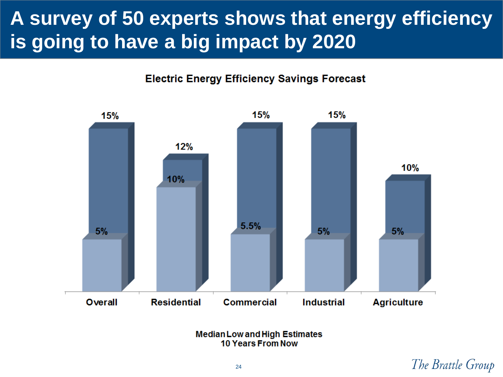## **A survey of 50 experts shows that energy efficiency is going to have a big impact by 2020**

**Electric Energy Efficiency Savings Forecast** 



**Median Low and High Estimates 10 Years From Now** 

### The Brattle Group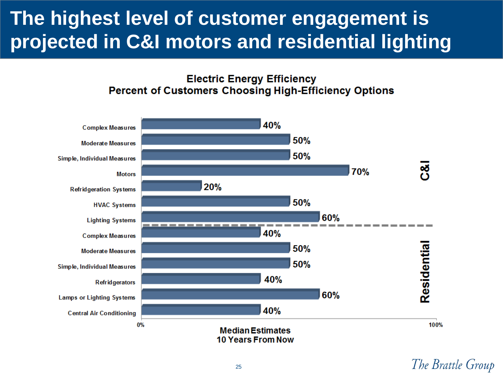## **The highest level of customer engagement is projected in C&I motors and residential lighting**

#### **Electric Energy Efficiency Percent of Customers Choosing High-Efficiency Options**



The Brattle Group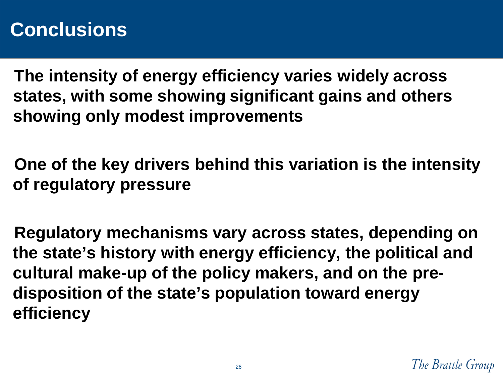### **Conclusions**

**The intensity of energy efficiency varies widely across states, with some showing significant gains and others showing only modest improvements** 

**One of the key drivers behind this variation is the intensity of regulatory pressure**

**Regulatory mechanisms vary across states, depending on the state's history with energy efficiency, the political and cultural make-up of the policy makers, and on the predisposition of the state's population toward energy efficiency**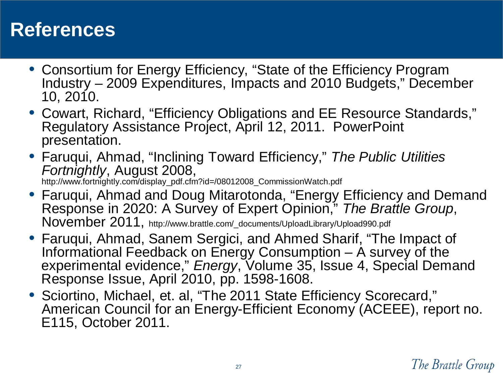### **References**

- Consortium for Energy Efficiency, "State of the Efficiency Program Industry – 2009 Expenditures, Impacts and 2010 Budgets," December 10, 2010.
- Cowart, Richard, "Efficiency Obligations and EE Resource Standards," Regulatory Assistance Project, April 12, 2011. PowerPoint presentation.
- Faruqui, Ahmad, "Inclining Toward Efficiency," *The Public Utilities Fortnightly*, August 2008, http://www.fortnightly.com/display\_pdf.cfm?id=/08012008\_CommissionWatch.pdf
- Faruqui, Ahmad and Doug Mitarotonda, "Energy Efficiency and Demand Response in 2020: A Survey of Expert Opinion," *The Brattle Group*, November 2011, http://www.brattle.com/\_documents/UploadLibrary/Upload990.pdf
- Faruqui, Ahmad, Sanem Sergici, and Ahmed Sharif, "The Impact of Informational Feedback on Energy Consumption – A survey of the experimental evidence," *Energy*, Volume 35, Issue 4, Special Demand Response Issue, April 2010, pp. 1598-1608.
- Sciortino, Michael, et. al, "The 2011 State Efficiency Scorecard," American Council for an Energy-Efficient Economy (ACEEE), report no. E115, October 2011.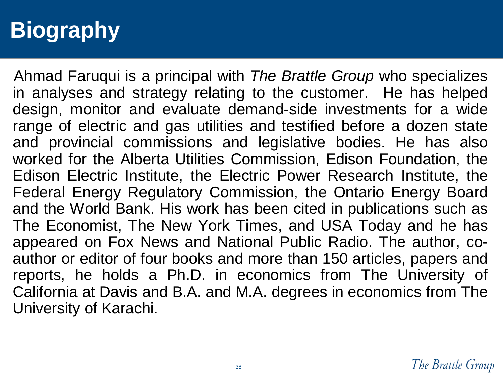# **Biography**

Ahmad Faruqui is a principal with *The Brattle Group* who specializes in analyses and strategy relating to the customer. He has helped design, monitor and evaluate demand-side investments for a wide range of electric and gas utilities and testified before a dozen state and provincial commissions and legislative bodies. He has also worked for the Alberta Utilities Commission, Edison Foundation, the Edison Electric Institute, the Electric Power Research Institute, the Federal Energy Regulatory Commission, the Ontario Energy Board and the World Bank. His work has been cited in publications such as The Economist, The New York Times, and USA Today and he has appeared on Fox News and National Public Radio. The author, coauthor or editor of four books and more than 150 articles, papers and reports, he holds a Ph.D. in economics from The University of California at Davis and B.A. and M.A. degrees in economics from The University of Karachi.